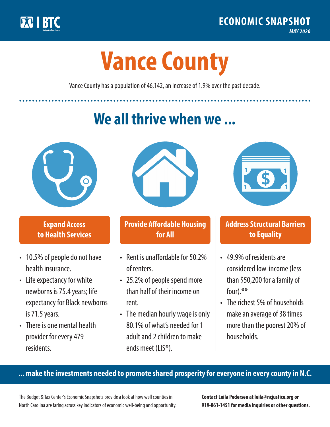

**1**

# **Vance County**

Vance County has a population of 46,142, an increase of 1.9% over the past decade.

# **We all thrive when we ...**



**\$ <sup>1</sup>**

**\$ <sup>1</sup>**

#### **Expand Access to Health Services**

- 10.5% of people do not have health insurance.
- Life expectancy for white newborns is 75.4years; life expectancy for Black newborns is 71.5 years.
- There is one mental health provider for every 479 residents.



## **Provide Affordable Housing for All**

- Rent is unaffordable for 50 2% of renters.
- 25.2% of people spend more than half of their income on rent.
- The median hourly wage is only 80.1% of what's needed for 1 adult and 2 children to make ends meet (LIS\*).



## **Address Structural Barriers to Equality**

- 49.9% of residents are considered low-income (less than \$50,200 for a family of four).\*\*
- The richest 5% of households make an average of 38 times more than the poorest 20% of households.

#### **... make the investments needed to promote shared prosperity for everyone in every county in N.C.**

The Budget & Tax Center's Economic Snapshots provide a look at how well counties in North Carolina are faring across key indicators of economic well-being and opportunity.